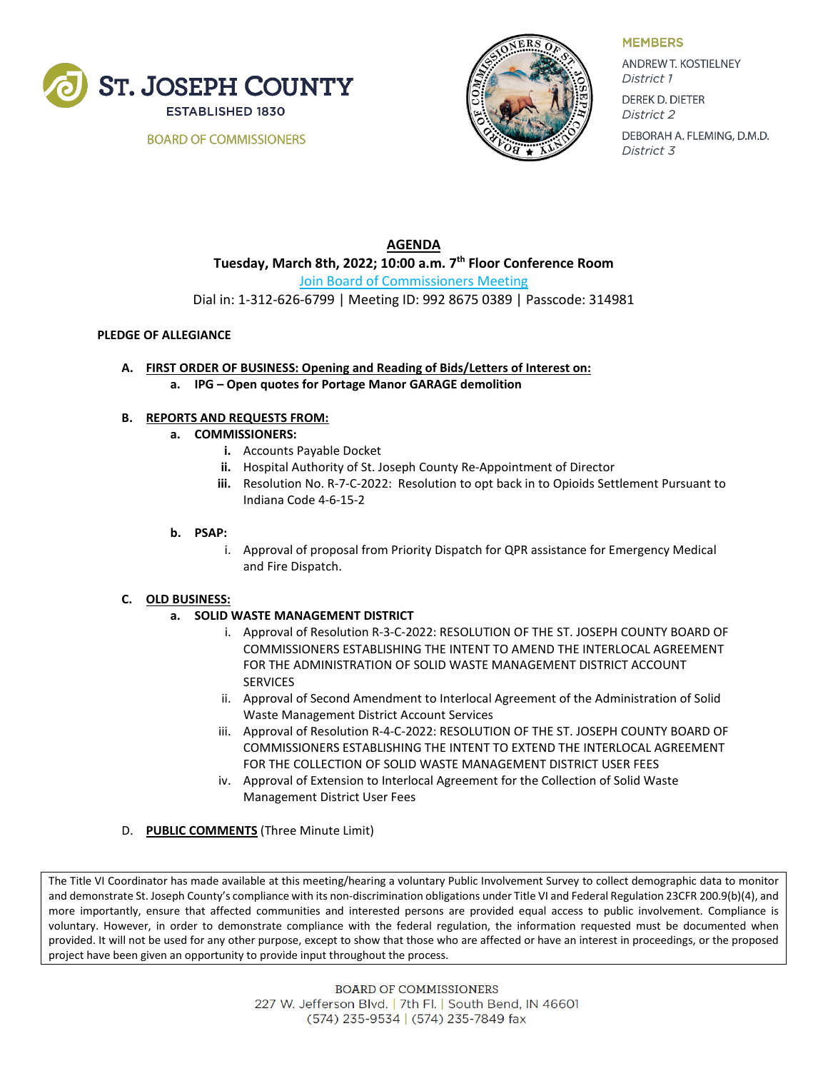

**BOARD OF COMMISSIONERS** 



**MEMBERS** 

ANDREW T. KOSTIELNEY District 1 **DEREK D. DIETER** District 2 DEBORAH A. FLEMING, D.M.D. District 3

**AGENDA Tuesday, March 8th, 2022; 10:00 a.m. 7th Floor Conference Room** [Join Board of Commissioners Meeting](https://zoom.us/j/99286750389?pwd=Rk9JMEZINmFudDJGSE9lUHJxZ1MyQT09) Dial in: 1-312-626-6799 | Meeting ID: 992 8675 0389 | Passcode: 314981

### **PLEDGE OF ALLEGIANCE**

- **A. FIRST ORDER OF BUSINESS: Opening and Reading of Bids/Letters of Interest on:** 
	- **a. IPG – Open quotes for Portage Manor GARAGE demolition**

# **B. REPORTS AND REQUESTS FROM:**

- **a. COMMISSIONERS:**
	- **i.** Accounts Payable Docket
	- **ii.** Hospital Authority of St. Joseph County Re-Appointment of Director
	- **iii.** Resolution No. R-7-C-2022: Resolution to opt back in to Opioids Settlement Pursuant to Indiana Code 4-6-15-2

### **b. PSAP:**

i. Approval of proposal from Priority Dispatch for QPR assistance for Emergency Medical and Fire Dispatch.

# **C. OLD BUSINESS:**

- **a. SOLID WASTE MANAGEMENT DISTRICT**
	- i. Approval of Resolution R-3-C-2022: RESOLUTION OF THE ST. JOSEPH COUNTY BOARD OF COMMISSIONERS ESTABLISHING THE INTENT TO AMEND THE INTERLOCAL AGREEMENT FOR THE ADMINISTRATION OF SOLID WASTE MANAGEMENT DISTRICT ACCOUNT SERVICES
	- ii. Approval of Second Amendment to Interlocal Agreement of the Administration of Solid Waste Management District Account Services
	- iii. Approval of Resolution R-4-C-2022: RESOLUTION OF THE ST. JOSEPH COUNTY BOARD OF COMMISSIONERS ESTABLISHING THE INTENT TO EXTEND THE INTERLOCAL AGREEMENT FOR THE COLLECTION OF SOLID WASTE MANAGEMENT DISTRICT USER FEES
	- iv. Approval of Extension to Interlocal Agreement for the Collection of Solid Waste Management District User Fees
- D. **PUBLIC COMMENTS** (Three Minute Limit)

The Title VI Coordinator has made available at this meeting/hearing a voluntary Public Involvement Survey to collect demographic data to monitor and demonstrate St. Joseph County's compliance with its non-discrimination obligations under Title VI and Federal Regulation 23CFR 200.9(b)(4), and more importantly, ensure that affected communities and interested persons are provided equal access to public involvement. Compliance is voluntary. However, in order to demonstrate compliance with the federal regulation, the information requested must be documented when provided. It will not be used for any other purpose, except to show that those who are affected or have an interest in proceedings, or the proposed project have been given an opportunity to provide input throughout the process.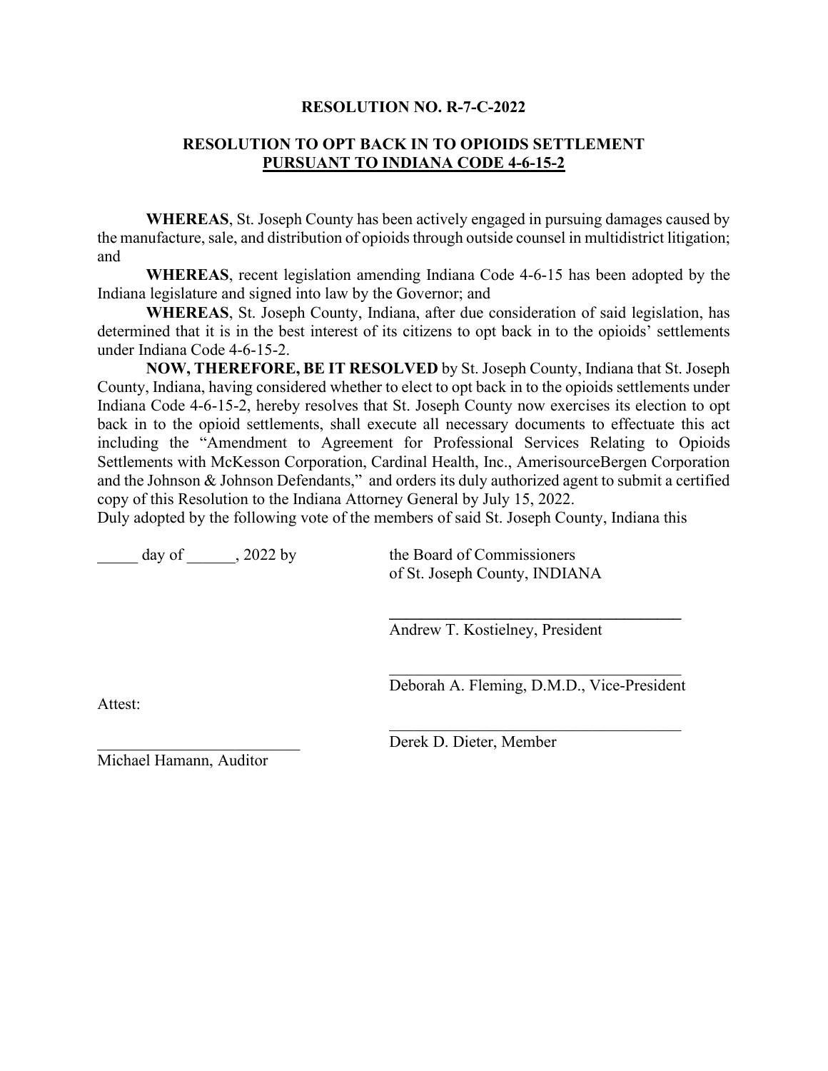# **RESOLUTION NO. R-7-C-2022**

# **RESOLUTION TO OPT BACK IN TO OPIOIDS SETTLEMENT PURSUANT TO INDIANA CODE 4-6-15-2**

**WHEREAS**, St. Joseph County has been actively engaged in pursuing damages caused by the manufacture, sale, and distribution of opioids through outside counsel in multidistrict litigation; and

**WHEREAS**, recent legislation amending Indiana Code 4-6-15 has been adopted by the Indiana legislature and signed into law by the Governor; and

**WHEREAS**, St. Joseph County, Indiana, after due consideration of said legislation, has determined that it is in the best interest of its citizens to opt back in to the opioids' settlements under Indiana Code 4-6-15-2.

**NOW, THEREFORE, BE IT RESOLVED** by St. Joseph County, Indiana that St. Joseph County, Indiana, having considered whether to elect to opt back in to the opioids settlements under Indiana Code 4-6-15-2, hereby resolves that St. Joseph County now exercises its election to opt back in to the opioid settlements, shall execute all necessary documents to effectuate this act including the "Amendment to Agreement for Professional Services Relating to Opioids Settlements with McKesson Corporation, Cardinal Health, Inc., AmerisourceBergen Corporation and the Johnson & Johnson Defendants," and orders its duly authorized agent to submit a certified copy of this Resolution to the Indiana Attorney General by July 15, 2022.

Duly adopted by the following vote of the members of said St. Joseph County, Indiana this

day of  $\qquad$ , 2022 by the Board of Commissioners

of St. Joseph County, INDIANA

Andrew T. Kostielney, President

 $\mathcal{L}_\mathcal{L}$ Deborah A. Fleming, D.M.D., Vice-President

 $\mathcal{L}_\mathcal{L}$ 

**\_\_\_\_\_\_\_\_\_\_\_\_\_\_\_\_\_\_\_\_\_\_\_\_\_\_\_\_\_\_\_\_\_\_\_\_**

Attest:

Derek D. Dieter, Member

Michael Hamann, Auditor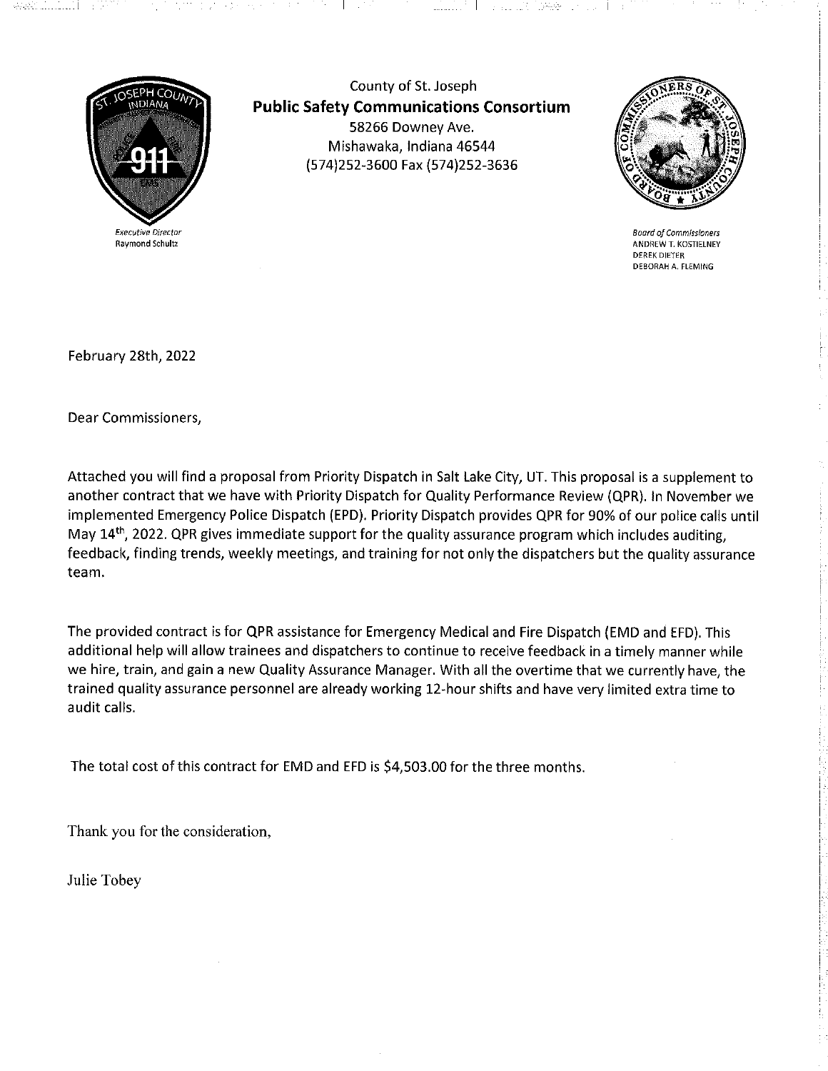

County of St. Joseph **Public Safety Communications Consortium** 58266 Downey Ave. Mishawaka, Indiana 46544 (574)252-3600 Fax (574)252-3636

 $\sim$  100  $\mu$ 

 $\mathbf{I}$ 



**Board of Commissioners** ANDREW T. KOSTIELNEY **DEREK DIETER** DEBORAH A. FLEMING

February 28th, 2022

Dear Commissioners,

Attached you will find a proposal from Priority Dispatch in Salt Lake City, UT. This proposal is a supplement to another contract that we have with Priority Dispatch for Quality Performance Review (QPR). In November we implemented Emergency Police Dispatch (EPD). Priority Dispatch provides QPR for 90% of our police calls until May 14<sup>th</sup>, 2022. QPR gives immediate support for the quality assurance program which includes auditing, feedback, finding trends, weekly meetings, and training for not only the dispatchers but the quality assurance team.

The provided contract is for QPR assistance for Emergency Medical and Fire Dispatch (EMD and EFD). This additional help will allow trainees and dispatchers to continue to receive feedback in a timely manner while we hire, train, and gain a new Quality Assurance Manager. With all the overtime that we currently have, the trained quality assurance personnel are already working 12-hour shifts and have very limited extra time to audit calls.

The total cost of this contract for EMD and EFD is \$4,503.00 for the three months.

Thank you for the consideration,

Julie Tobey